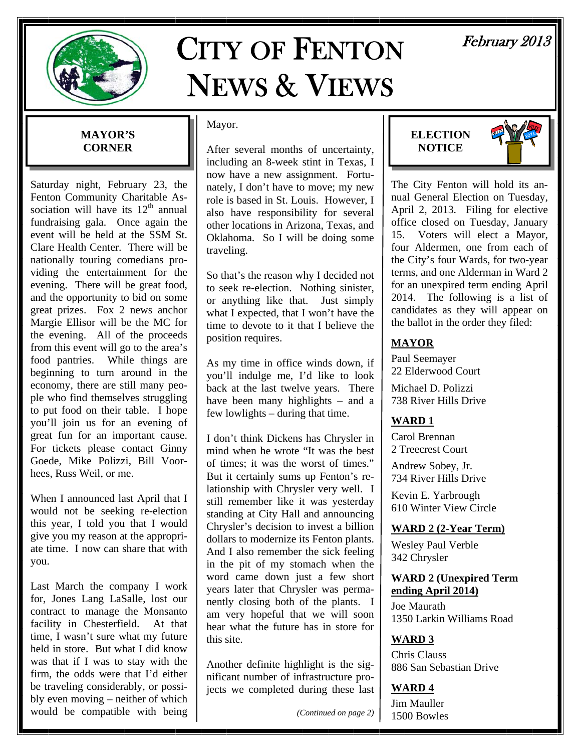

# CITY OF FENTON NEWS & VIEWS

# February 2013

### **MAYOR'S CORNER**

Saturday night, February 23, the Fenton Community Charitable Association will have its  $12<sup>th</sup>$  annual fundraising gala. Once again the event will be held at the SSM St. Clare Health Center. There will be nationally touring comedians providing the entertainment for the evening. There will be great food, and the opportunity to bid on some great prizes. Fox 2 news anchor Margie Ellisor will be the MC for the evening. All of the proceeds from this event will go to the area's food pantries. While things are beginning to turn around in the economy, there are still many people who find themselves struggling to put food on their table. I hope you'll join us for an evening of great fun for an important cause. For tickets please contact Ginny Goede, Mike Polizzi, Bill Voorhees, Russ Weil, or me.

When I announced last April that I would not be seeking re-election this year, I told you that I would give you my reason at the appropriate time. I now can share that with you.

Last March the company I work for, Jones Lang LaSalle, lost our contract to manage the Monsanto facility in Chesterfield. At that time, I wasn't sure what my future held in store. But what I did know was that if I was to stay with the firm, the odds were that I'd either be traveling considerably, or possibly even moving – neither of which would be compatible with being

### Mayor.

After several months of uncertainty, including an 8-week stint in Texas, I now have a new assignment. Fortunately, I don't have to move; my new role is based in St. Louis. However, I also have responsibility for several other locations in Arizona, Texas, and Oklahoma. So I will be doing some traveling.

So that's the reason why I decided not to seek re-election. Nothing sinister, or anything like that. Just simply what I expected, that I won't have the time to devote to it that I believe the position requires.

As my time in office winds down, if you'll indulge me, I'd like to look back at the last twelve years. There have been many highlights – and a few lowlights – during that time.

I don't think Dickens has Chrysler in mind when he wrote "It was the best of times; it was the worst of times." But it certainly sums up Fenton's relationship with Chrysler very well. I still remember like it was yesterday standing at City Hall and announcing Chrysler's decision to invest a billion dollars to modernize its Fenton plants. And I also remember the sick feeling in the pit of my stomach when the word came down just a few short years later that Chrysler was permanently closing both of the plants. I am very hopeful that we will soon hear what the future has in store for this site.

Another definite highlight is the significant number of infrastructure projects we completed during these last

*(Continued on page 2)* 





The City Fenton will hold its annual General Election on Tuesday, April 2, 2013. Filing for elective office closed on Tuesday, January 15. Voters will elect a Mayor, four Aldermen, one from each of the City's four Wards, for two-year terms, and one Alderman in Ward 2 for an unexpired term ending April 2014. The following is a list of candidates as they will appear on the ballot in the order they filed:

### **MAYOR**

Paul Seemayer 22 Elderwood Court

Michael D. Polizzi 738 River Hills Drive

### **WARD 1**

Carol Brennan 2 Treecrest Court

Andrew Sobey, Jr. 734 River Hills Drive

Kevin E. Yarbrough 610 Winter View Circle

### **WARD 2 (2-Year Term)**

Wesley Paul Verble 342 Chrysler

### **WARD 2 (Unexpired Term ending April 2014)**

Joe Maurath 1350 Larkin Williams Road

### **WARD 3**

Chris Clauss 886 San Sebastian Drive

### **WARD 4**

Jim Mauller 1500 Bowles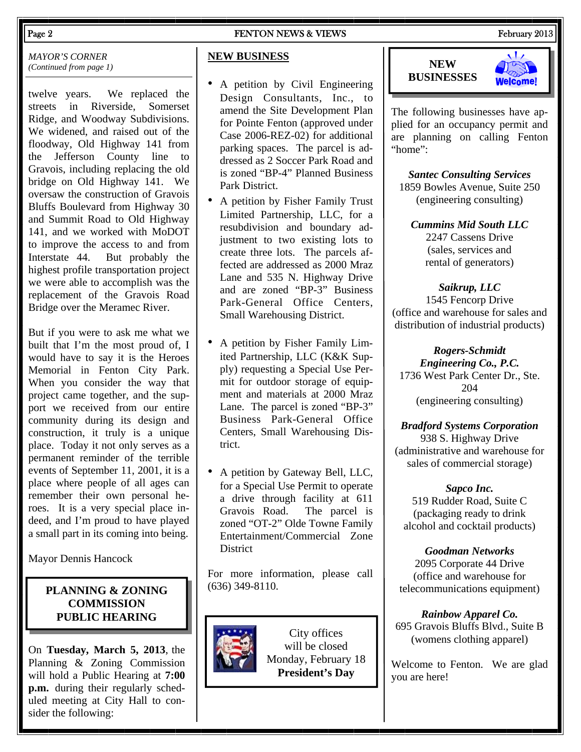### Page 2 FENTON NEWS & VIEWS FENTON NEWS 2013

*MAYOR'S CORNER (Continued from page 1)* 

twelve years. We replaced the streets in Riverside, Somerset Ridge, and Woodway Subdivisions. We widened, and raised out of the floodway, Old Highway 141 from the Jefferson County line to Gravois, including replacing the old bridge on Old Highway 141. We oversaw the construction of Gravois Bluffs Boulevard from Highway 30 and Summit Road to Old Highway 141, and we worked with MoDOT to improve the access to and from Interstate 44. But probably the highest profile transportation project we were able to accomplish was the replacement of the Gravois Road Bridge over the Meramec River.

But if you were to ask me what we built that I'm the most proud of, I would have to say it is the Heroes Memorial in Fenton City Park. When you consider the way that project came together, and the support we received from our entire community during its design and construction, it truly is a unique place. Today it not only serves as a permanent reminder of the terrible events of September 11, 2001, it is a place where people of all ages can remember their own personal heroes. It is a very special place indeed, and I'm proud to have played a small part in its coming into being.

Mayor Dennis Hancock

### **PLANNING & ZONING COMMISSION PUBLIC HEARING**

On **Tuesday, March 5, 2013**, the Planning & Zoning Commission will hold a Public Hearing at **7:00 p.m.** during their regularly scheduled meeting at City Hall to consider the following:

### **NEW BUSINESS**

- A petition by Civil Engineering Design Consultants, Inc., to amend the Site Development Plan for Pointe Fenton (approved under Case 2006-REZ-02) for additional parking spaces. The parcel is addressed as 2 Soccer Park Road and is zoned "BP-4" Planned Business Park District.
- A petition by Fisher Family Trust Limited Partnership, LLC, for a resubdivision and boundary adjustment to two existing lots to create three lots. The parcels affected are addressed as 2000 Mraz Lane and 535 N. Highway Drive and are zoned "BP-3" Business Park-General Office Centers, Small Warehousing District.
- A petition by Fisher Family Limited Partnership, LLC (K&K Supply) requesting a Special Use Permit for outdoor storage of equipment and materials at 2000 Mraz Lane. The parcel is zoned "BP-3" Business Park-General Office Centers, Small Warehousing District.
- A petition by Gateway Bell, LLC, for a Special Use Permit to operate a drive through facility at 611 Gravois Road. The parcel is zoned "OT-2" Olde Towne Family Entertainment/Commercial Zone **District**

For more information, please call (636) 349-8110.



City offices will be closed Monday, February 18 **President's Day**





The following businesses have applied for an occupancy permit and are planning on calling Fenton "home":

*Santec Consulting Services*  1859 Bowles Avenue, Suite 250 (engineering consulting)

*Cummins Mid South LLC*  2247 Cassens Drive (sales, services and rental of generators)

*Saikrup, LLC*  1545 Fencorp Drive (office and warehouse for sales and distribution of industrial products)

*Rogers-Schmidt Engineering Co., P.C.*  1736 West Park Center Dr., Ste. 204 (engineering consulting)

*Bradford Systems Corporation*  938 S. Highway Drive (administrative and warehouse for sales of commercial storage)

*Sapco Inc.*  519 Rudder Road, Suite C (packaging ready to drink alcohol and cocktail products)

*Goodman Networks*  2095 Corporate 44 Drive (office and warehouse for telecommunications equipment)

*Rainbow Apparel Co.* 695 Gravois Bluffs Blvd., Suite B (womens clothing apparel)

Welcome to Fenton. We are glad you are here!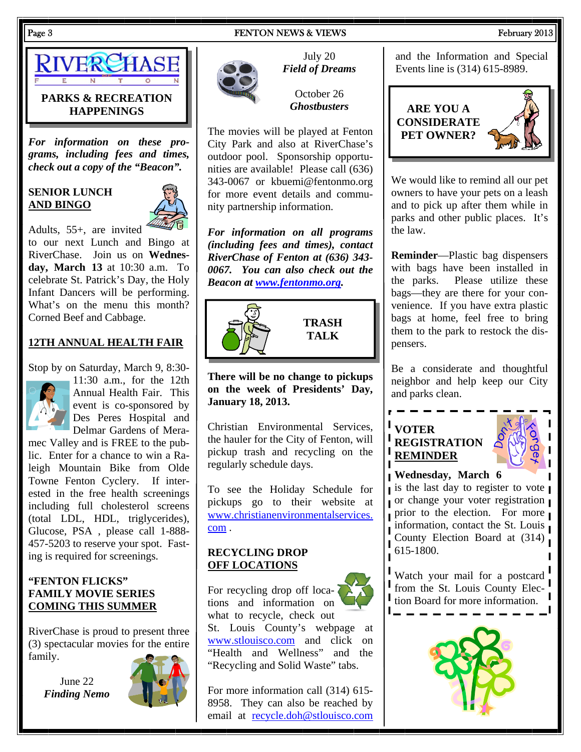### Page 3 FENTON NEWS & VIEWS FEDEL ASSESSMENT RESERVE TO A RESERVE THE RESERVE TO A RESERVE THE RESERVE TO A RESERVE THE RESERVE TO A RESERVE THE RESERVE TO A RESERVE THE RESERVE TO A RESERVE THE RESERVE TO A RESERVE THE RES



### **PARKS & RECREATION HAPPENINGS**

*For information on these programs, including fees and times, check out a copy of the "Beacon".* 

### **SENIOR LUNCH AND BINGO**



Adults, 55+, are invited to our next Lunch and Bingo at RiverChase. Join us on **Wednesday, March 13** at 10:30 a.m. To celebrate St. Patrick's Day, the Holy Infant Dancers will be performing. What's on the menu this month? Corned Beef and Cabbage.

### **12TH ANNUAL HEALTH FAIR**

Stop by on Saturday, March 9, 8:30-



11:30 a.m., for the 12th Annual Health Fair. This event is co-sponsored by Des Peres Hospital and Delmar Gardens of Mera-

mec Valley and is FREE to the public. Enter for a chance to win a Raleigh Mountain Bike from Olde Towne Fenton Cyclery. If interested in the free health screenings including full cholesterol screens (total LDL, HDL, triglycerides), Glucose, PSA , please call 1-888- 457-5203 to reserve your spot. Fasting is required for screenings.

### **"FENTON FLICKS" FAMILY MOVIE SERIES COMING THIS SUMMER**

RiverChase is proud to present three (3) spectacular movies for the entire family.

June 22 *Finding Nemo*





July 20 *Field of Dreams*

October 26 *Ghostbusters*

The movies will be played at Fenton City Park and also at RiverChase's outdoor pool. Sponsorship opportunities are available! Please call (636) 343-0067 or kbuemi@fentonmo.org for more event details and community partnership information.

*For information on all programs (including fees and times), contact RiverChase of Fenton at (636) 343- 0067. You can also check out the Beacon at www.fentonmo.org.*



**There will be no change to pickups on the week of Presidents' Day, January 18, 2013.**

Christian Environmental Services, the hauler for the City of Fenton, will pickup trash and recycling on the regularly schedule days.

To see the Holiday Schedule for pickups go to their website at www.christianenvironmentalservices. com .

### **RECYCLING DROP OFF LOCATIONS**

For recycling drop off locations and information on what to recycle, check out St. Louis County's webpage at www.stlouisco.com and click on "Health and Wellness" and the "Recycling and Solid Waste" tabs.

For more information call (314) 615- 8958. They can also be reached by email at recycle.doh@stlouisco.com and the Information and Special Events line is (314) 615-8989.



We would like to remind all our pet owners to have your pets on a leash and to pick up after them while in parks and other public places. It's the law.

**Reminder**—Plastic bag dispensers with bags have been installed in the parks. Please utilize these bags—they are there for your convenience. If you have extra plastic bags at home, feel free to bring them to the park to restock the dispensers.

Be a considerate and thoughtful neighbor and help keep our City and parks clean.

### **VOTER REGISTRATION REMINDER**



**Wednesday, March 6**

is the last day to register to vote or change your voter registration prior to the election. For more information, contact the St. Louis County Election Board at (314) 615-1800.

Watch your mail for a postcard from the St. Louis County Elec-I tion Board for more information.

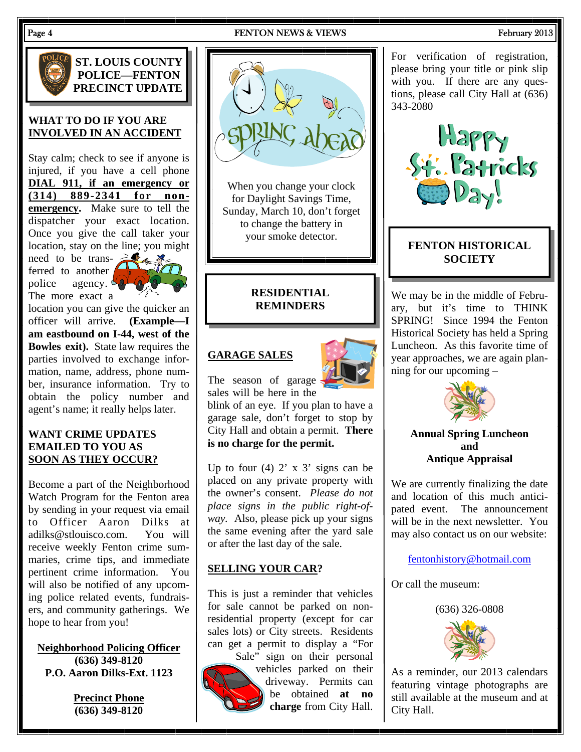### Page 4 FENTON NEWS & VIEWS FEDEL ASSESSMENT RESERVE TO A RESERVE THE RESERVE TO A RESERVE THE RESERVE TO A RESERVE THE RESERVE TO A RESERVE THE RESERVE TO A RESERVE THE RESERVE TO A RESERVE THE RESERVE TO A RESERVE THE RES



**ST. LOUIS COUNTY POLICE—FENTON PRECINCT UPDATE** 

### **WHAT TO DO IF YOU ARE INVOLVED IN AN ACCIDENT**

Stay calm; check to see if anyone is injured, if you have a cell phone **DIAL 911, if an emergency or (314) 889-2341 for nonemergency.** Make sure to tell the dispatcher your exact location. Once you give the call taker your location, stay on the line; you might

need to be transferred to another police agency.  $\mathcal{L}_{\mathbb{Q}}$ The more exact a



location you can give the quicker an officer will arrive. **(Example—I am eastbound on I-44, west of the Bowles exit).** State law requires the parties involved to exchange information, name, address, phone number, insurance information. Try to obtain the policy number and agent's name; it really helps later.

### **WANT CRIME UPDATES EMAILED TO YOU AS SOON AS THEY OCCUR?**

Become a part of the Neighborhood Watch Program for the Fenton area by sending in your request via email to Officer Aaron Dilks at adilks@stlouisco.com. You will receive weekly Fenton crime summaries, crime tips, and immediate pertinent crime information. You will also be notified of any upcoming police related events, fundraisers, and community gatherings. We hope to hear from you!

**Neighborhood Policing Officer (636) 349-8120 P.O. Aaron Dilks-Ext. 1123** 

> **Precinct Phone (636) 349-8120**



When you change your clock for Daylight Savings Time, Sunday, March 10, don't forget to change the battery in your smoke detector.

### **RESIDENTIAL REMINDERS**

### **GARAGE SALES**



The season of garage sales will be here in the

blink of an eye. If you plan to have a garage sale, don't forget to stop by City Hall and obtain a permit. **There is no charge for the permit.**

Up to four  $(4)$  2' x 3' signs can be placed on any private property with the owner's consent. *Please do not place signs in the public right-ofway.* Also, please pick up your signs the same evening after the yard sale or after the last day of the sale.

### **SELLING YOUR CAR?**

This is just a reminder that vehicles for sale cannot be parked on nonresidential property (except for car sales lots) or City streets. Residents can get a permit to display a "For



Sale" sign on their personal vehicles parked on their driveway. Permits can be obtained **at no charge** from City Hall.

For verification of registration, please bring your title or pink slip with you. If there are any questions, please call City Hall at (636) 343-2080



### **FENTON HISTORICAL SOCIETY**

We may be in the middle of February, but it's time to THINK SPRING! Since 1994 the Fenton Historical Society has held a Spring Luncheon. As this favorite time of year approaches, we are again planning for our upcoming –



### **Annual Spring Luncheon and Antique Appraisal**

We are currently finalizing the date and location of this much anticipated event. The announcement will be in the next newsletter. You may also contact us on our website:

### fentonhistory@hotmail.com

Or call the museum:



As a reminder, our 2013 calendars featuring vintage photographs are still available at the museum and at City Hall.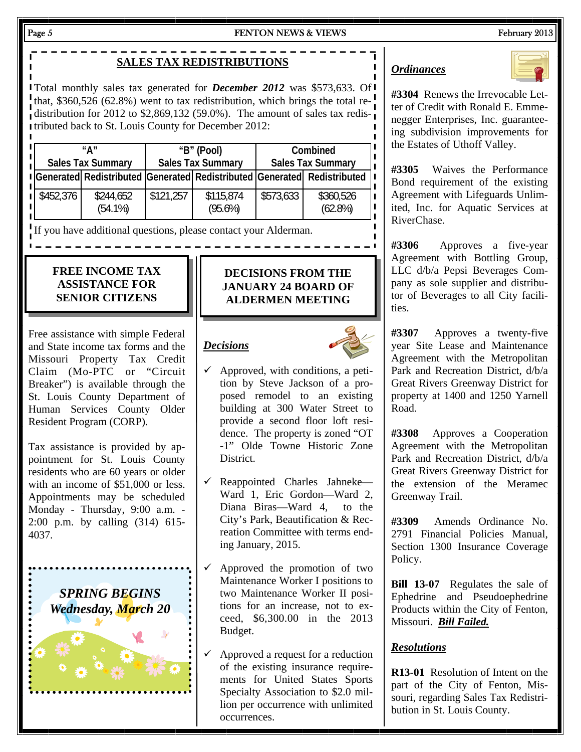### Page 5 FENTON NEWS & VIEWS FEDEL ASSESSMENT REPORTS FEBRUARY 2013

# **SALES TAX REDISTRIBUTIONS**

Total monthly sales tax generated for *December 2012* was \$573,633. Of that, \$360,526 (62.8%) went to tax redistribution, which brings the total redistribution for 2012 to \$2,869,132 (59.0%). The amount of sales tax redistributed back to St. Louis County for December 2012:

| "∆″<br><b>Sales Tax Summary</b> |                                                                           | "B" (Pool)<br><b>Sales Tax Summary</b> |                         | Combined<br><b>Sales Tax Summary</b> |                         |
|---------------------------------|---------------------------------------------------------------------------|----------------------------------------|-------------------------|--------------------------------------|-------------------------|
|                                 | I Generated Redistributed Generated Redistributed Generated Redistributed |                                        |                         |                                      |                         |
| \$452,376                       | \$244,652<br>$(54.1\%)$                                                   | \$121,257                              | \$115,874<br>$(95.6\%)$ | \$573,633                            | \$360,526<br>$(62.8\%)$ |

If you have additional questions, please contact your Alderman.

### **FREE INCOME TAX ASSISTANCE FOR SENIOR CITIZENS**

Free assistance with simple Federal and State income tax forms and the Missouri Property Tax Credit Claim (Mo-PTC or "Circuit Breaker") is available through the St. Louis County Department of Human Services County Older Resident Program (CORP).

Tax assistance is provided by appointment for St. Louis County residents who are 60 years or older with an income of \$51,000 or less. Appointments may be scheduled Monday - Thursday, 9:00 a.m. - 2:00 p.m. by calling (314) 615- 4037.



### **DECISIONS FROM THE JANUARY 24 BOARD OF ALDERMEN MEETING**

### *Decisions*



- $\checkmark$  Approved, with conditions, a petition by Steve Jackson of a proposed remodel to an existing building at 300 Water Street to provide a second floor loft residence. The property is zoned "OT -1" Olde Towne Historic Zone District.
- $\checkmark$  Reappointed Charles Jahneke— Ward 1, Eric Gordon—Ward 2, Diana Biras—Ward 4, to the City's Park, Beautification & Recreation Committee with terms ending January, 2015.
- $\checkmark$  Approved the promotion of two Maintenance Worker I positions to two Maintenance Worker II positions for an increase, not to exceed, \$6,300.00 in the 2013 Budget.
- $\checkmark$  Approved a request for a reduction of the existing insurance requirements for United States Sports Specialty Association to \$2.0 million per occurrence with unlimited occurrences.

### *Ordinances*



**#3304** Renews the Irrevocable Letter of Credit with Ronald E. Emmenegger Enterprises, Inc. guaranteeing subdivision improvements for the Estates of Uthoff Valley.

**#3305** Waives the Performance Bond requirement of the existing Agreement with Lifeguards Unlimited, Inc. for Aquatic Services at RiverChase.

**#3306** Approves a five-year Agreement with Bottling Group, LLC d/b/a Pepsi Beverages Company as sole supplier and distributor of Beverages to all City facilities.

**#3307** Approves a twenty-five year Site Lease and Maintenance Agreement with the Metropolitan Park and Recreation District, d/b/a Great Rivers Greenway District for property at 1400 and 1250 Yarnell Road.

**#3308** Approves a Cooperation Agreement with the Metropolitan Park and Recreation District, d/b/a Great Rivers Greenway District for the extension of the Meramec Greenway Trail.

**#3309** Amends Ordinance No. 2791 Financial Policies Manual, Section 1300 Insurance Coverage Policy.

**Bill 13-07** Regulates the sale of Ephedrine and Pseudoephedrine Products within the City of Fenton, Missouri. *Bill Failed.*

### *Resolutions*

**R13-01** Resolution of Intent on the part of the City of Fenton, Missouri, regarding Sales Tax Redistribution in St. Louis County.